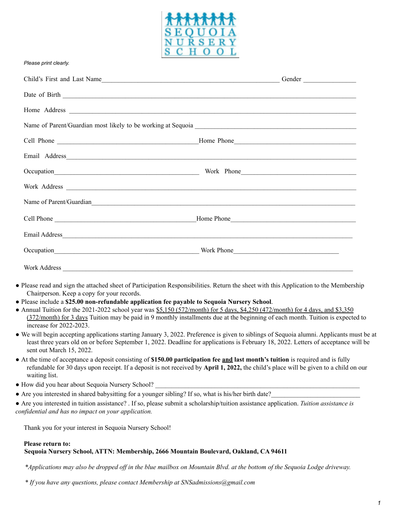

#### *Please print clearly.*

| Name of Parent/Guardian |  |
|-------------------------|--|
|                         |  |
|                         |  |
|                         |  |
|                         |  |
|                         |  |

- Please read and sign the attached sheet of Participation Responsibilities. Return the sheet with this Application to the Membership Chairperson. Keep a copy for your records.
- Please include a **\$25.00 non-refundable application fee payable to Sequoia Nursery School**.
- Annual Tuition for the 2021-2022 school year was \$5,150 (572/month) for 5 days, \$4,250 (472/month) for 4 days, and \$3,350 (372/month) for 3 days Tuition may be paid in 9 monthly installments due at the beginning of each month. Tuition is expected to increase for 2022-2023.
- We will begin accepting applications starting January 3, 2022. Preference is given to siblings of Sequoia alumni. Applicants must be at least three years old on or before September 1, 2022. Deadline for applications is February 18, 2022. Letters of acceptance will be sent out March 15, 2022.
- At the time of acceptance a deposit consisting of **\$150.00 participation fee and last month's tuition** is required and is fully refundable for 30 days upon receipt. If a deposit is not received by **April 1, 2022,** the child's place will be given to a child on our waiting list.
- How did you hear about Sequoia Nursery School?
- Are you interested in shared babysitting for a younger sibling? If so, what is his/her birth date?
- Are you interested in tuition assistance? . If so, please submit a scholarship/tuition assistance application. *Tuition assistance is confidential and has no impact on your application.*

Thank you for your interest in Sequoia Nursery School!

#### **Please return to:**

#### **Sequoia Nursery School, ATTN: Membership, 2666 Mountain Boulevard, Oakland, CA 94611**

\*Applications may also be dropped off in the blue mailbox on Mountain Blvd. at the bottom of the Sequoia Lodge driveway.

*\* If you have any questions, please contact Membership at SNSadmissions@gmail.com*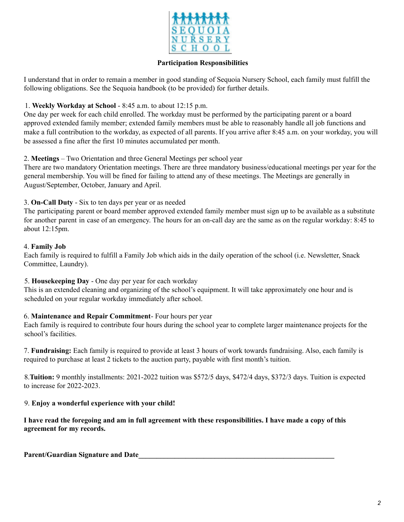

### **Participation Responsibilities**

I understand that in order to remain a member in good standing of Sequoia Nursery School, each family must fulfill the following obligations. See the Sequoia handbook (to be provided) for further details.

### 1. **Weekly Workday at School** - 8:45 a.m. to about 12:15 p.m.

One day per week for each child enrolled. The workday must be performed by the participating parent or a board approved extended family member; extended family members must be able to reasonably handle all job functions and make a full contribution to the workday, as expected of all parents. If you arrive after 8:45 a.m. on your workday, you will be assessed a fine after the first 10 minutes accumulated per month.

#### 2. **Meetings** – Two Orientation and three General Meetings per school year

There are two mandatory Orientation meetings. There are three mandatory business/educational meetings per year for the general membership. You will be fined for failing to attend any of these meetings. The Meetings are generally in August/September, October, January and April.

# 3. **On-Call Duty** - Six to ten days per year or as needed

The participating parent or board member approved extended family member must sign up to be available as a substitute for another parent in case of an emergency. The hours for an on-call day are the same as on the regular workday: 8:45 to about 12:15pm.

#### 4. **Family Job**

Each family is required to fulfill a Family Job which aids in the daily operation of the school (i.e. Newsletter, Snack Committee, Laundry).

# 5. **Housekeeping Day** - One day per year for each workday

This is an extended cleaning and organizing of the school's equipment. It will take approximately one hour and is scheduled on your regular workday immediately after school.

# 6. **Maintenance and Repair Commitment**- Four hours per year

Each family is required to contribute four hours during the school year to complete larger maintenance projects for the school's facilities.

7. **Fundraising:** Each family is required to provide at least 3 hours of work towards fundraising. Also, each family is required to purchase at least 2 tickets to the auction party, payable with first month's tuition.

8.**Tuition:** 9 monthly installments: 2021-2022 tuition was \$572/5 days, \$472/4 days, \$372/3 days. Tuition is expected to increase for 2022-2023.

# 9. **Enjoy a wonderful experience with your child!**

I have read the foregoing and am in full agreement with these responsibilities. I have made a copy of this **agreement for my records.**

**Parent/Guardian Signature and Date\_\_\_\_\_\_\_\_\_\_\_\_\_\_\_\_\_\_\_\_\_\_\_\_\_\_\_\_\_\_\_\_\_\_\_\_\_\_\_\_\_\_\_\_\_\_\_\_\_\_\_\_\_\_**